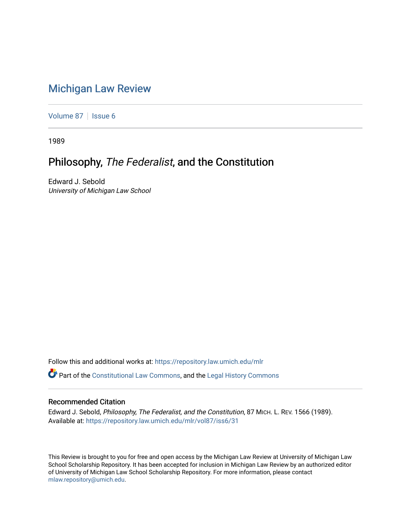## [Michigan Law Review](https://repository.law.umich.edu/mlr)

[Volume 87](https://repository.law.umich.edu/mlr/vol87) | [Issue 6](https://repository.law.umich.edu/mlr/vol87/iss6)

1989

## Philosophy, The Federalist, and the Constitution

Edward J. Sebold University of Michigan Law School

Follow this and additional works at: [https://repository.law.umich.edu/mlr](https://repository.law.umich.edu/mlr?utm_source=repository.law.umich.edu%2Fmlr%2Fvol87%2Fiss6%2F31&utm_medium=PDF&utm_campaign=PDFCoverPages) 

Part of the [Constitutional Law Commons,](http://network.bepress.com/hgg/discipline/589?utm_source=repository.law.umich.edu%2Fmlr%2Fvol87%2Fiss6%2F31&utm_medium=PDF&utm_campaign=PDFCoverPages) and the [Legal History Commons](http://network.bepress.com/hgg/discipline/904?utm_source=repository.law.umich.edu%2Fmlr%2Fvol87%2Fiss6%2F31&utm_medium=PDF&utm_campaign=PDFCoverPages) 

## Recommended Citation

Edward J. Sebold, Philosophy, The Federalist, and the Constitution, 87 MICH. L. REV. 1566 (1989). Available at: [https://repository.law.umich.edu/mlr/vol87/iss6/31](https://repository.law.umich.edu/mlr/vol87/iss6/31?utm_source=repository.law.umich.edu%2Fmlr%2Fvol87%2Fiss6%2F31&utm_medium=PDF&utm_campaign=PDFCoverPages) 

This Review is brought to you for free and open access by the Michigan Law Review at University of Michigan Law School Scholarship Repository. It has been accepted for inclusion in Michigan Law Review by an authorized editor of University of Michigan Law School Scholarship Repository. For more information, please contact [mlaw.repository@umich.edu.](mailto:mlaw.repository@umich.edu)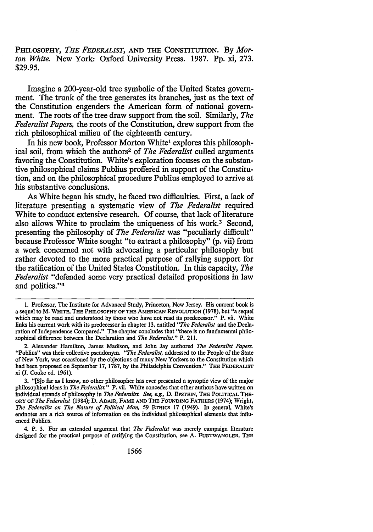PHILOSOPHY, *THE FEDERALIST,* AND THE CONSTITUTION. By *Morton White.* New York: Oxford University Press. 1987. Pp. xi, 273. \$29.95.

Imagine a 200-year-old tree symbolic of the United States government. The trunk of the tree generates its branches, just as the text of the Constitution engenders the American form of national government. The roots of the tree draw support from the soil. Similarly, *The Federalist Papers,* the roots of the Constitution, drew support from the rich philosophical milieu of the eighteenth century.

In his new book, Professor Morton White<sup>1</sup> explores this philosophical soil, from which the authors2 of *The Federalist* culled arguments favoring the Constitution. White's exploration focuses on the substantive philosophical claims Publius proffered in support pf the Constitution, and on the philosophical procedure Publius employed to arrive at his substantive conclusions.

As White began his study, he faced two difficulties. First, a lack of literature presenting a systematic view of *The Federalist* required White to conduct extensive research. Of course, that lack of literature also allows White to proclaim the uniqueness of his work.<sup>3</sup> Second, presenting the philosophy of *The Federalist* was "peculiarly difficult" because Professor White sought "to extract a philosophy" (p. vii) from a work concerned not with advocating a particular philosophy but rather devoted to the more practical purpose of rallying support for the ratification of the United States Constitution. In this capacity, *The Federalist* "defended some very practical detailed propositions in law and politics."4

<sup>1.</sup> Professor, The Institute for Advanced Study, Princeton, New Jersey. His current book is a sequel to M. WHITE, THE PHILOSOPHY OF THE AMERICAN REVOLUTION (1978), but "a sequel which may be read and understood by those who have not read its predecessor." P. vii. White links his current work with its predecessor in chapter 13, entitled *"The Federalist* and the Declaration of Independence Compared." The chapter concludes that "there is no fundamental philosophical difference between the Declaration and *The Federalist."* P. 211.

<sup>2.</sup> Alexander Hamilton, James Madison, and John Jay authored *The Federalist Papers.*  "Publius" was their collective pseudonym. *"The Federalist,* addressed to the People of the State of New York, was occasioned by the objections of many New Yorkers to the Constitution which had been proposed on September 17, 1787, by the Philadelphia Convention." THE FEDERALIST xi (J. Cooke ed. 1961).

<sup>3. &</sup>quot;[S]o far as I know, no other philosopher has ever presented a synoptic view of the major philosophical ideas in *The Federalist."* P. vii. White concedes that other authors have written on individual strands of philosophy in *The Federalist. See, e.g.,* D. EPSTEIN, THE POLITICAL THE· ORY OF *The Federalist* (1984); D. ADAIR, FAME AND THE FOUNDING FATHERS (1974); Wright, *The Federalist on The Nature of Political Man,* 59 ETHICS 17 (1949). In general, White's endnotes are a rich source of information on the individual philosophical elements that influenced Publius.

<sup>4.</sup> P. 3. For an extended argument that *The Federalist* was merely campaign literature designed for the practical purpose of ratifying the Constitution, see A. FURTWANGLER, THE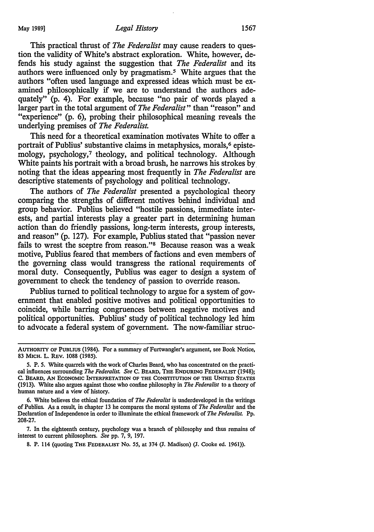## May 1989] *Legal History* 1567

This practical thrust of *The Federalist* may cause readers to question the validity of White's abstract exploration. White, however, defends his study against the suggestion that *The Federalist* and its authors were influenced only by pragmatism. *5* White argues that the authors "often used language and expressed ideas which must be examined philosophically if we are to understand the authors adequately" (p. 4). For example, because "no pair of words played a larger part in the total argument of *The Federalist"* than "reason" and "experience" (p. 6), probing their philosophical meaning reveals the underlying premises of *The Federalist.* 

This need for a theoretical examination motivates White to offer a portrait of Publius' substantive claims in metaphysics, morals,<sup>6</sup> epistemology, psychology,<sup>7</sup> theology, and political technology. Although White paints his portrait with a broad brush, he narrows his strokes by noting that the ideas appearing most frequently in *The Federalist* are descriptive statements of psychology and political technology.

The authors of *The Federalist* presented a psychological theory comparing the strengths of different motives behind individual and group behavior. Publius believed "hostile passions, immediate interests, and partial interests play a greater part in determining human action than do friendly passions, long-term interests, group interests, and reason" (p. 127). For example, Publius stated that "passion never fails to wrest the sceptre from reason."8 Because reason was a weak motive, Publius feared that members of factions and even members of the governing class would transgress the rational requirements of moral duty. Consequently, Publius was eager to design a system of government to check the tendency of passion to override reason.

Publius turned to political technology to argue for a system of government that enabled positive motives and political opportunities to coincide, while barring congruences between negative motives and political opportunities. Publius' study of political technology led him to advocate a federal system of government. The now-familiar struc-

6. White believes the ethical foundation of *The Federalist* is underdeveloped in the writings of Publius. As a result, in chapter 13 he compares the moral systems of *The Federalist* and the Declaration of Independence in order to illuminate the ethical framework of *The Federalist.* Pp. 208-27.

7. In the eighteenth century, psychology was a branch of philosophy and thus remains of interest to current philosophers. *See* pp. 7, 9, 197.

8. P. 114 (quoting THE FEDERALISf No. 55, at 374 (J. Madison) (J. Cooke ed. 1961)).

AUTHORITY OF PUBLIUS (1984). For a summary of Furtwangler's argument, see Book Notice, 83 MICH. L. REV. 1088 (1985).

<sup>5.</sup> P. 5. White quarrels with the work of Charles Beard, who has concentrated on the practical influences surrounding *The Federalist See* c. BEARD, THE ENDURING FEDERALISf (1948); C. BEARD, AN EcONOMIC INTERPRETATION OF THE CONSfITUTION OF THE UNITED STATES (1913). White also argues against those who confine philosophy in *The Federalist* to a theory of human nature and a view of history.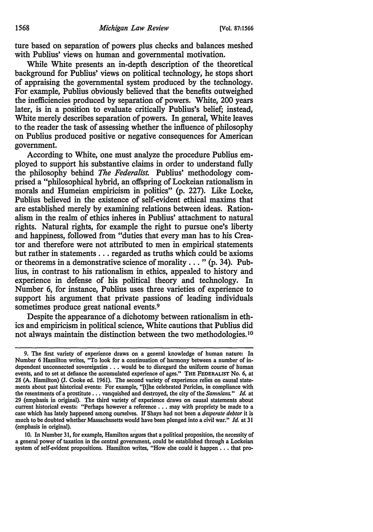ture based on separation of powers plus checks and balances meshed with Publius' views on human and governmental motivation.

While White presents an in-depth description of the theoretical background for Publius' views on political technology, he stops short of appraising the governmental system produced by the technology. For example, Publius obviously believed that the benefits outweighed the inefficiencies produced by separation of powers. White, 200 years later, is in a position to evaluate critically Publius's belief; instead, White merely describes separation of powers. In general, White leaves to the reader the task of assessing whether the influence of philosophy on Publius produced positive or negative consequences for American government.

According to White, one must analyze the procedure Publius employed to support his substantive claims in order to understand fully the philosophy behind *The Federalist.* Publius' methodology comprised a "philosophical hybrid, an offspring of Lockeian rationalism in morals and Humeian empiricism in politics" (p. 227). Like Locke, Publius believed in the existence of self-evident ethical maxims that are established merely by examining relations between ideas. Rationalism in the realm of ethics inheres in Publius' attachment to natural rights. Natural rights, for example the right to pursue one's liberty and happiness, followed from "duties that every man has to his Creator and therefore were not attributed to men in empirical statements but rather in statements  $\dots$  regarded as truths which could be axioms or theorems in a demonstrative science of morality ... " (p. 34). Publius, in contrast to his rationalism in ethics, appealed to history and experience in defense of his political theory and technology. In Number 6, for instance, Publius uses three varieties of experience to support his argument that private passions of leading individuals sometimes produce great national events.<sup>9</sup>

Despite the appearance of a dichotomy between rationalism in ethics and empiricism in political science, White cautions that Publius did not always maintain the distinction between the two methodologies. <sup>10</sup>

10. In Number 31, for example, Hamilton argues that a political proposition, the necessity of a general power of taxation in the central government, could be established through a Lockeian system of self-evident propositions. Hamilton writes, "How else could it happen . . . that pro-

<sup>9.</sup> The first variety of experience draws on a general knowledge of human nature: In Number 6 Hamilton writes, "To look for a continuation of harmony between a number of independent unconnected sovereignties . . . would be to disregard the uniform course of human events, and to set at defiance the accumulated experience of ages." THE FEDERALIST No. 6, at 28 (A. Hamilton) (J. Cooke ed. 1961). The second variety of experience relies on causal state· ments about past historical events: For example, "[t]he celebrated Pericles, in compliance with the resentments of a prostitute •.• vanquished and destroyed, the city of the *Samnians." Id.* at 29 (emphasis in original). The third variety of experience draws on causal statements about current historical events: "Perhaps however a reference . . . may with propriety be made to a case which has lately happened among ourselves. If Shays had not been a *desperate debtor* it is much to be doubted whether Massachusetts would have been plunged into a civil war." *Id.* at 31 (emphasis in original).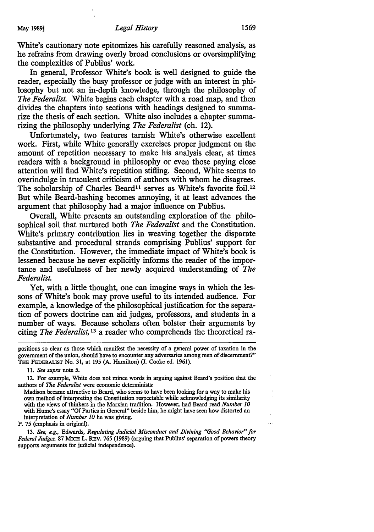$\ddot{\phantom{a}}$ 

White's cautionary note epitomizes his carefully reasoned analysis, as he refrains from drawing overly broad conclusions or oversimplifying the complexities of Publius' work.

In general, Professor White's book is well designed to guide the reader, especially the busy professor or judge with an interest in philosophy but not an in-depth knowledge, through the philosophy of *The Federalist.* White begins each chapter with a road map, and then divides the chapters into sections with headings designed to summarize the thesis of each section. White also includes a chapter summarizing the philosophy underlying *The Federalist* (ch. 12).

Unfortunately, two features tarnish White's otherwise excellent work. First, while White generally exercises proper judgment on the amount of repetition necessary to make his analysis clear, at times readers with a background in philosophy or even those paying close attention will find White's repetition stifling. Second, White seems to overindulge in truculent criticism of authors with whom he disagrees. The scholarship of Charles Beard<sup>11</sup> serves as White's favorite foil.<sup>12</sup> But while Beard-bashing becomes annoying, it at least advances the argument that philosophy had a major influence on Publius.

Overall, White presents an outstanding exploration of the philosophical soil that nurtured both *The Federalist* and the Constitution. White's primary contribution lies in weaving together the disparate substantive and procedural strands comprising Publius' support for the Constitution. However, the immediate impact of White's book is lessened because he never explicitly informs the reader of the importance and usefulness of her newly acquired understanding of *The Federalist.* 

Yet, with a little thought, one can imagine ways in which the lessons of White's book may prove useful to its intended audience. For example, a knowledge of the philosophical justification for the separation of powers doctrine can aid judges, professors, and students in a number of ways. Because scholars often bolster their arguments by citing *The Federalist,* 13 a reader who comprehends the theoretical ra-

11. *See supra* note 5.

12. For example, White does not mince words in arguing against Beard's position that the authors of *The Federalist* were economic determinists:

Madison became attractive to Beard, who seems to have been looking for a way to make his own method of interpreting the Constitution respectable while acknowledging its similarity with the views of thinkers in the Marxian tradition. However, had Beard read *Number JO*  with Hume's essay "Of Parties in General" beside him, he might have seen how distorted an interpretation of *Number 10* he was giving.

P. 75 (emphasis in original).

13. *See, e.g.,* Edwards, *Regulating Judicial Misconduct and Divining "Good Behavior" for Federal Judges, 81* MICH L. REv. 765 (1989) (arguing that Publius' separation of powers theory supports arguments for judicial independence).

positions so clear as those which manifest the necessity of a general power of taxation in the government of the union, should have to encounter any adversaries among men of discernment?" THE FEDERALIST No. 31, at 195 (A. Hamilton) (J. Cooke ed. 1961).